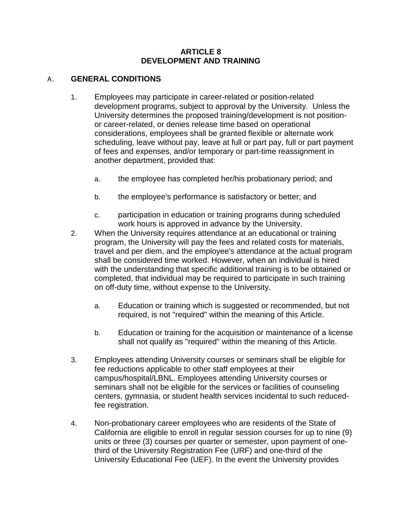#### **ARTICLE 8 DEVELOPMENT AND TRAINING**

#### A. **GENERAL CONDITIONS**

- 1. Employees may participate in career-related or position-related development programs, subject to approval by the University. Unless the University determines the proposed training/development is not positionor career-related, or denies release time based on operational considerations, employees shall be granted flexible or alternate work scheduling, leave without pay, leave at full or part pay, full or part payment of fees and expenses, and/or temporary or part-time reassignment in another department, provided that:
	- a. the employee has completed her/his probationary period; and
	- b. the employee's performance is satisfactory or better; and
	- c. participation in education or training programs during scheduled work hours is approved in advance by the University.
- 2. When the University requires attendance at an educational or training program, the University will pay the fees and related costs for materials, travel and per diem, and the employee's attendance at the actual program shall be considered time worked. However, when an individual is hired with the understanding that specific additional training is to be obtained or completed, that individual may be required to participate in such training on off-duty time, without expense to the University.
	- a. Education or training which is suggested or recommended, but not required, is not "required" within the meaning of this Article.
	- b. Education or training for the acquisition or maintenance of a license shall not qualify as "required" within the meaning of this Article.
- 3. Employees attending University courses or seminars shall be eligible for fee reductions applicable to other staff employees at their campus/hospital/LBNL. Employees attending University courses or seminars shall not be eligible for the services or facilities of counseling centers, gymnasia, or student health services incidental to such reducedfee registration.
- 4. Non-probationary career employees who are residents of the State of California are eligible to enroll in regular session courses for up to nine (9) units or three (3) courses per quarter or semester, upon payment of onethird of the University Registration Fee (URF) and one-third of the University Educational Fee (UEF). In the event the University provides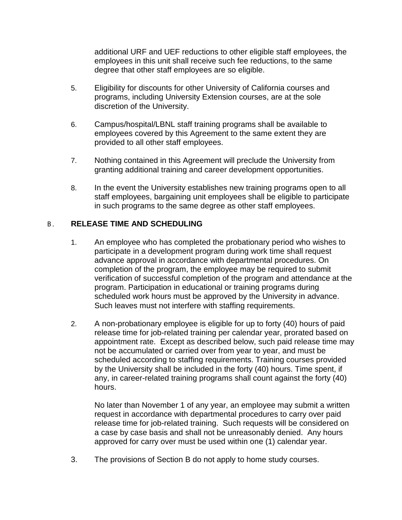additional URF and UEF reductions to other eligible staff employees, the employees in this unit shall receive such fee reductions, to the same degree that other staff employees are so eligible.

- 5. Eligibility for discounts for other University of California courses and programs, including University Extension courses, are at the sole discretion of the University.
- 6. Campus/hospital/LBNL staff training programs shall be available to employees covered by this Agreement to the same extent they are provided to all other staff employees.
- 7. Nothing contained in this Agreement will preclude the University from granting additional training and career development opportunities.
- 8. In the event the University establishes new training programs open to all staff employees, bargaining unit employees shall be eligible to participate in such programs to the same degree as other staff employees.

# B. **RELEASE TIME AND SCHEDULING**

- 1. An employee who has completed the probationary period who wishes to participate in a development program during work time shall request advance approval in accordance with departmental procedures. On completion of the program, the employee may be required to submit verification of successful completion of the program and attendance at the program. Participation in educational or training programs during scheduled work hours must be approved by the University in advance. Such leaves must not interfere with staffing requirements.
- 2. A non-probationary employee is eligible for up to forty (40) hours of paid release time for job-related training per calendar year, prorated based on appointment rate. Except as described below, such paid release time may not be accumulated or carried over from year to year, and must be scheduled according to staffing requirements. Training courses provided by the University shall be included in the forty (40) hours. Time spent, if any, in career-related training programs shall count against the forty (40) hours.

No later than November 1 of any year, an employee may submit a written request in accordance with departmental procedures to carry over paid release time for job-related training. Such requests will be considered on a case by case basis and shall not be unreasonably denied. Any hours approved for carry over must be used within one (1) calendar year.

3. The provisions of Section B do not apply to home study courses.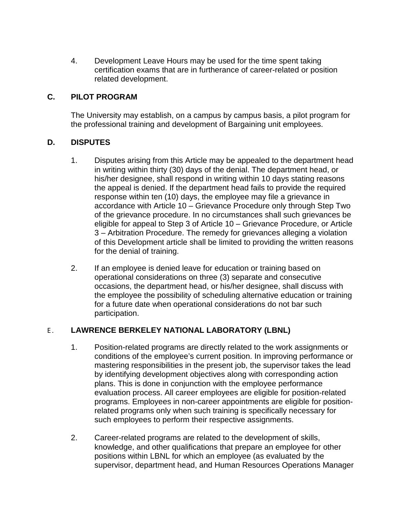4. Development Leave Hours may be used for the time spent taking certification exams that are in furtherance of career-related or position related development.

# **C. PILOT PROGRAM**

The University may establish, on a campus by campus basis, a pilot program for the professional training and development of Bargaining unit employees.

### **D. DISPUTES**

- 1. Disputes arising from this Article may be appealed to the department head in writing within thirty (30) days of the denial. The department head, or his/her designee, shall respond in writing within 10 days stating reasons the appeal is denied. If the department head fails to provide the required response within ten (10) days, the employee may file a grievance in accordance with Article 10 – Grievance Procedure only through Step Two of the grievance procedure. In no circumstances shall such grievances be eligible for appeal to Step 3 of Article 10 – Grievance Procedure, or Article 3 – Arbitration Procedure. The remedy for grievances alleging a violation of this Development article shall be limited to providing the written reasons for the denial of training.
- 2. If an employee is denied leave for education or training based on operational considerations on three (3) separate and consecutive occasions, the department head, or his/her designee, shall discuss with the employee the possibility of scheduling alternative education or training for a future date when operational considerations do not bar such participation.

# E. LAWRENCE BERKELEY NATIONAL LABORATORY (LBNL)

- 1. Position-related programs are directly related to the work assignments or conditions of the employee's current position. In improving performance or mastering responsibilities in the present job, the supervisor takes the lead by identifying development objectives along with corresponding action plans. This is done in conjunction with the employee performance evaluation process. All career employees are eligible for position-related programs. Employees in non-career appointments are eligible for positionrelated programs only when such training is specifically necessary for such employees to perform their respective assignments.
- 2. Career-related programs are related to the development of skills, knowledge, and other qualifications that prepare an employee for other positions within LBNL for which an employee (as evaluated by the supervisor, department head, and Human Resources Operations Manager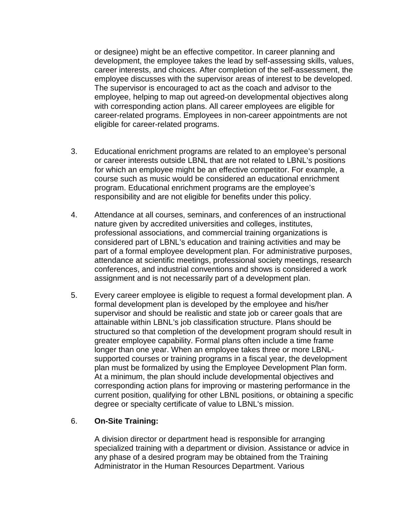or designee) might be an effective competitor. In career planning and development, the employee takes the lead by self-assessing skills, values, career interests, and choices. After completion of the self-assessment, the employee discusses with the supervisor areas of interest to be developed. The supervisor is encouraged to act as the coach and advisor to the employee, helping to map out agreed-on developmental objectives along with corresponding action plans. All career employees are eligible for career-related programs. Employees in non-career appointments are not eligible for career-related programs.

- 3. Educational enrichment programs are related to an employee's personal or career interests outside LBNL that are not related to LBNL's positions for which an employee might be an effective competitor. For example, a course such as music would be considered an educational enrichment program. Educational enrichment programs are the employee's responsibility and are not eligible for benefits under this policy.
- 4. Attendance at all courses, seminars, and conferences of an instructional nature given by accredited universities and colleges, institutes, professional associations, and commercial training organizations is considered part of LBNL's education and training activities and may be part of a formal employee development plan. For administrative purposes, attendance at scientific meetings, professional society meetings, research conferences, and industrial conventions and shows is considered a work assignment and is not necessarily part of a development plan.
- 5. Every career employee is eligible to request a formal development plan. A formal development plan is developed by the employee and his/her supervisor and should be realistic and state job or career goals that are attainable within LBNL's job classification structure. Plans should be structured so that completion of the development program should result in greater employee capability. Formal plans often include a time frame longer than one year. When an employee takes three or more LBNLsupported courses or training programs in a fiscal year, the development plan must be formalized by using the Employee Development Plan form. At a minimum, the plan should include developmental objectives and corresponding action plans for improving or mastering performance in the current position, qualifying for other LBNL positions, or obtaining a specific degree or specialty certificate of value to LBNL's mission.

# 6. **On-Site Training:**

A division director or department head is responsible for arranging specialized training with a department or division. Assistance or advice in any phase of a desired program may be obtained from the Training Administrator in the Human Resources Department. Various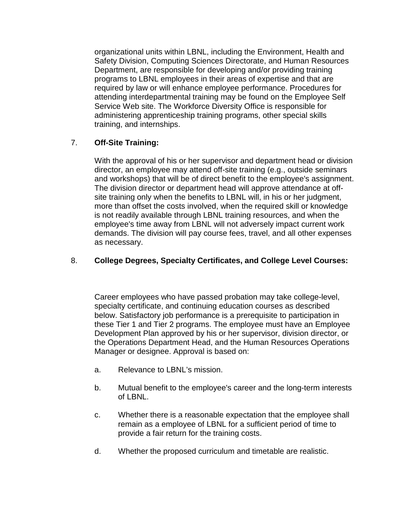organizational units within LBNL, including the Environment, Health and Safety Division, Computing Sciences Directorate, and Human Resources Department, are responsible for developing and/or providing training programs to LBNL employees in their areas of expertise and that are required by law or will enhance employee performance. Procedures for attending interdepartmental training may be found on the Employee Self Service Web site. The Workforce Diversity Office is responsible for administering apprenticeship training programs, other special skills training, and internships.

# 7. **Off-Site Training:**

With the approval of his or her supervisor and department head or division director, an employee may attend off-site training (e.g., outside seminars and workshops) that will be of direct benefit to the employee's assignment. The division director or department head will approve attendance at offsite training only when the benefits to LBNL will, in his or her judgment, more than offset the costs involved, when the required skill or knowledge is not readily available through LBNL training resources, and when the employee's time away from LBNL will not adversely impact current work demands. The division will pay course fees, travel, and all other expenses as necessary.

## 8. **College Degrees, Specialty Certificates, and College Level Courses:**

Career employees who have passed probation may take college-level, specialty certificate, and continuing education courses as described below. Satisfactory job performance is a prerequisite to participation in these Tier 1 and Tier 2 programs. The employee must have an Employee Development Plan approved by his or her supervisor, division director, or the Operations Department Head, and the Human Resources Operations Manager or designee. Approval is based on:

- a. Relevance to LBNL's mission.
- b. Mutual benefit to the employee's career and the long-term interests of LBNL.
- c. Whether there is a reasonable expectation that the employee shall remain as a employee of LBNL for a sufficient period of time to provide a fair return for the training costs.
- d. Whether the proposed curriculum and timetable are realistic.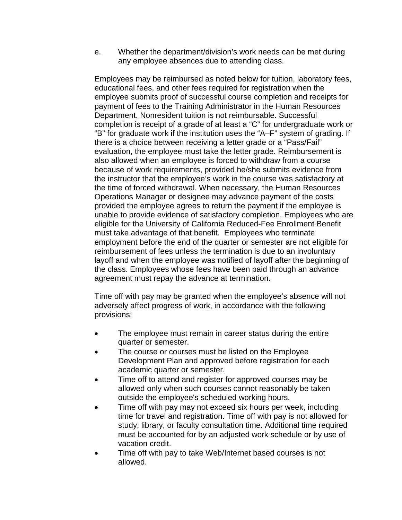e. Whether the department/division's work needs can be met during any employee absences due to attending class.

Employees may be reimbursed as noted below for tuition, laboratory fees, educational fees, and other fees required for registration when the employee submits proof of successful course completion and receipts for payment of fees to the Training Administrator in the Human Resources Department. Nonresident tuition is not reimbursable. Successful completion is receipt of a grade of at least a "C" for undergraduate work or "B" for graduate work if the institution uses the "A–F" system of grading. If there is a choice between receiving a letter grade or a "Pass/Fail" evaluation, the employee must take the letter grade. Reimbursement is also allowed when an employee is forced to withdraw from a course because of work requirements, provided he/she submits evidence from the instructor that the employee's work in the course was satisfactory at the time of forced withdrawal. When necessary, the Human Resources Operations Manager or designee may advance payment of the costs provided the employee agrees to return the payment if the employee is unable to provide evidence of satisfactory completion. Employees who are eligible for the University of California Reduced-Fee Enrollment Benefit must take advantage of that benefit. Employees who terminate employment before the end of the quarter or semester are not eligible for reimbursement of fees unless the termination is due to an involuntary layoff and when the employee was notified of layoff after the beginning of the class. Employees whose fees have been paid through an advance agreement must repay the advance at termination.

Time off with pay may be granted when the employee's absence will not adversely affect progress of work, in accordance with the following provisions:

- The employee must remain in career status during the entire quarter or semester.
- The course or courses must be listed on the Employee Development Plan and approved before registration for each academic quarter or semester.
- Time off to attend and register for approved courses may be allowed only when such courses cannot reasonably be taken outside the employee's scheduled working hours.
- Time off with pay may not exceed six hours per week, including time for travel and registration. Time off with pay is not allowed for study, library, or faculty consultation time. Additional time required must be accounted for by an adjusted work schedule or by use of vacation credit.
- Time off with pay to take Web/Internet based courses is not allowed.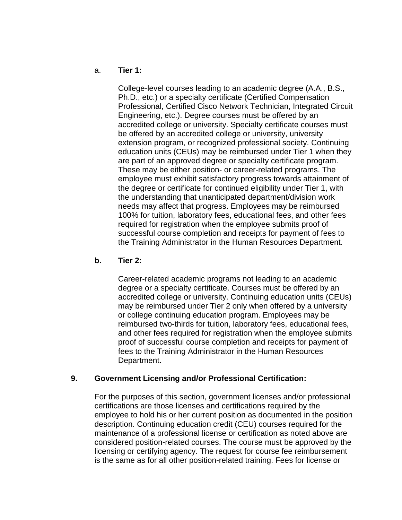#### a. **Tier 1:**

College-level courses leading to an academic degree (A.A., B.S., Ph.D., etc.) or a specialty certificate (Certified Compensation Professional, Certified Cisco Network Technician, Integrated Circuit Engineering, etc.). Degree courses must be offered by an accredited college or university. Specialty certificate courses must be offered by an accredited college or university, university extension program, or recognized professional society. Continuing education units (CEUs) may be reimbursed under Tier 1 when they are part of an approved degree or specialty certificate program. These may be either position- or career-related programs. The employee must exhibit satisfactory progress towards attainment of the degree or certificate for continued eligibility under Tier 1, with the understanding that unanticipated department/division work needs may affect that progress. Employees may be reimbursed 100% for tuition, laboratory fees, educational fees, and other fees required for registration when the employee submits proof of successful course completion and receipts for payment of fees to the Training Administrator in the Human Resources Department.

#### **b. Tier 2:**

Career-related academic programs not leading to an academic degree or a specialty certificate. Courses must be offered by an accredited college or university. Continuing education units (CEUs) may be reimbursed under Tier 2 only when offered by a university or college continuing education program. Employees may be reimbursed two-thirds for tuition, laboratory fees, educational fees, and other fees required for registration when the employee submits proof of successful course completion and receipts for payment of fees to the Training Administrator in the Human Resources Department.

#### **9. Government Licensing and/or Professional Certification:**

For the purposes of this section, government licenses and/or professional certifications are those licenses and certifications required by the employee to hold his or her current position as documented in the position description. Continuing education credit (CEU) courses required for the maintenance of a professional license or certification as noted above are considered position-related courses. The course must be approved by the licensing or certifying agency. The request for course fee reimbursement is the same as for all other position-related training. Fees for license or